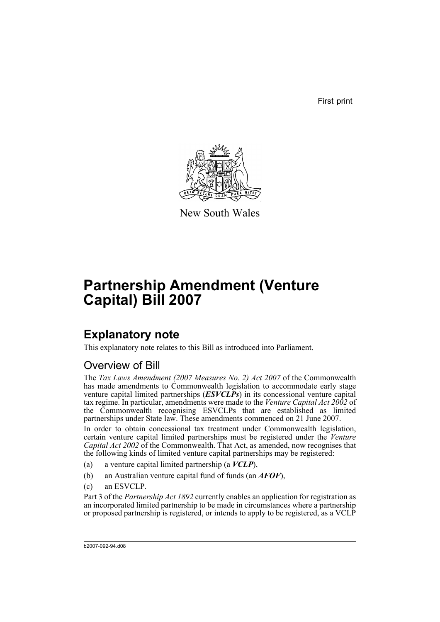First print



New South Wales

# **Partnership Amendment (Venture Capital) Bill 2007**

## **Explanatory note**

This explanatory note relates to this Bill as introduced into Parliament.

### Overview of Bill

The *Tax Laws Amendment (2007 Measures No. 2) Act 2007* of the Commonwealth has made amendments to Commonwealth legislation to accommodate early stage venture capital limited partnerships (*ESVCLPs*) in its concessional venture capital tax regime. In particular, amendments were made to the *Venture Capital Act 2002* of the Commonwealth recognising ESVCLPs that are established as limited partnerships under State law. These amendments commenced on 21 June 2007.

In order to obtain concessional tax treatment under Commonwealth legislation, certain venture capital limited partnerships must be registered under the *Venture Capital Act 2002* of the Commonwealth. That Act, as amended, now recognises that the following kinds of limited venture capital partnerships may be registered:

- (a) a venture capital limited partnership (a *VCLP*),
- (b) an Australian venture capital fund of funds (an *AFOF*),
- (c) an ESVCLP.

Part 3 of the *Partnership Act 1892* currently enables an application for registration as an incorporated limited partnership to be made in circumstances where a partnership or proposed partnership is registered, or intends to apply to be registered, as a VCLP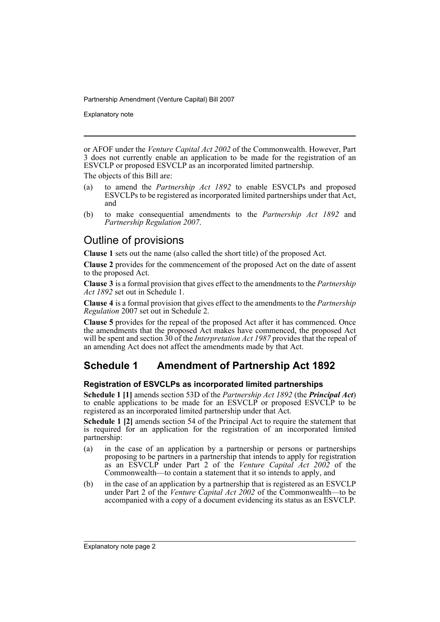Explanatory note

or AFOF under the *Venture Capital Act 2002* of the Commonwealth. However, Part 3 does not currently enable an application to be made for the registration of an ESVCLP or proposed ESVCLP as an incorporated limited partnership.

The objects of this Bill are:

- (a) to amend the *Partnership Act 1892* to enable ESVCLPs and proposed ESVCLPs to be registered as incorporated limited partnerships under that Act, and
- (b) to make consequential amendments to the *Partnership Act 1892* and *Partnership Regulation 2007*.

### Outline of provisions

**Clause 1** sets out the name (also called the short title) of the proposed Act.

**Clause 2** provides for the commencement of the proposed Act on the date of assent to the proposed Act.

**Clause 3** is a formal provision that gives effect to the amendments to the *Partnership Act 1892* set out in Schedule 1.

**Clause 4** is a formal provision that gives effect to the amendments to the *Partnership Regulation* 2007 set out in Schedule 2.

**Clause 5** provides for the repeal of the proposed Act after it has commenced. Once the amendments that the proposed Act makes have commenced, the proposed Act will be spent and section 30 of the *Interpretation Act 1987* provides that the repeal of an amending Act does not affect the amendments made by that Act.

### **Schedule 1 Amendment of Partnership Act 1892**

#### **Registration of ESVCLPs as incorporated limited partnerships**

**Schedule 1 [1]** amends section 53D of the *Partnership Act 1892* (the *Principal Act*) to enable applications to be made for an ESVCLP or proposed ESVCLP to be registered as an incorporated limited partnership under that Act.

**Schedule 1 [2]** amends section 54 of the Principal Act to require the statement that is required for an application for the registration of an incorporated limited partnership:

- (a) in the case of an application by a partnership or persons or partnerships proposing to be partners in a partnership that intends to apply for registration as an ESVCLP under Part 2 of the *Venture Capital Act 2002* of the Commonwealth—to contain a statement that it so intends to apply, and
- (b) in the case of an application by a partnership that is registered as an ESVCLP under Part 2 of the *Venture Capital Act 2002* of the Commonwealth—to be accompanied with a copy of a document evidencing its status as an ESVCLP.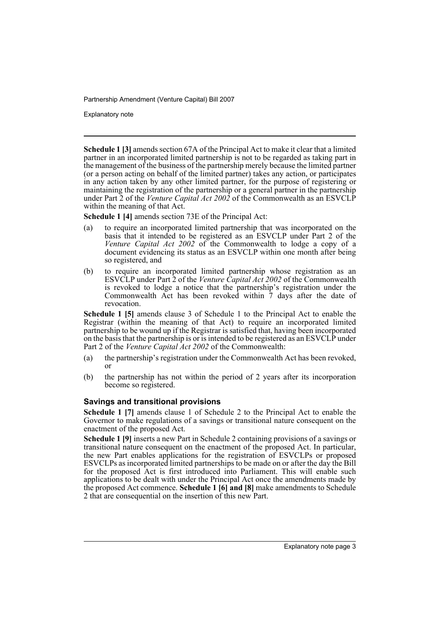Explanatory note

**Schedule 1 [3]** amends section 67A of the Principal Act to make it clear that a limited partner in an incorporated limited partnership is not to be regarded as taking part in the management of the business of the partnership merely because the limited partner (or a person acting on behalf of the limited partner) takes any action, or participates in any action taken by any other limited partner, for the purpose of registering or maintaining the registration of the partnership or a general partner in the partnership under Part 2 of the *Venture Capital Act 2002* of the Commonwealth as an ESVCLP within the meaning of that Act.

**Schedule 1 [4]** amends section 73E of the Principal Act:

- (a) to require an incorporated limited partnership that was incorporated on the basis that it intended to be registered as an ESVCLP under Part 2 of the *Venture Capital Act 2002* of the Commonwealth to lodge a copy of a document evidencing its status as an ESVCLP within one month after being so registered, and
- (b) to require an incorporated limited partnership whose registration as an ESVCLP under Part 2 of the *Venture Capital Act 2002* of the Commonwealth is revoked to lodge a notice that the partnership's registration under the Commonwealth Act has been revoked within 7 days after the date of revocation.

**Schedule 1 [5]** amends clause 3 of Schedule 1 to the Principal Act to enable the Registrar (within the meaning of that Act) to require an incorporated limited partnership to be wound up if the Registrar is satisfied that, having been incorporated on the basis that the partnership is or is intended to be registered as an ESVCLP under Part 2 of the *Venture Capital Act 2002* of the Commonwealth:

- (a) the partnership's registration under the Commonwealth Act has been revoked, or
- (b) the partnership has not within the period of 2 years after its incorporation become so registered.

#### **Savings and transitional provisions**

**Schedule 1 [7]** amends clause 1 of Schedule 2 to the Principal Act to enable the Governor to make regulations of a savings or transitional nature consequent on the enactment of the proposed Act.

**Schedule 1 [9]** inserts a new Part in Schedule 2 containing provisions of a savings or transitional nature consequent on the enactment of the proposed Act. In particular, the new Part enables applications for the registration of ESVCLPs or proposed ESVCLPs as incorporated limited partnerships to be made on or after the day the Bill for the proposed Act is first introduced into Parliament. This will enable such applications to be dealt with under the Principal Act once the amendments made by the proposed Act commence. **Schedule 1 [6] and [8]** make amendments to Schedule 2 that are consequential on the insertion of this new Part.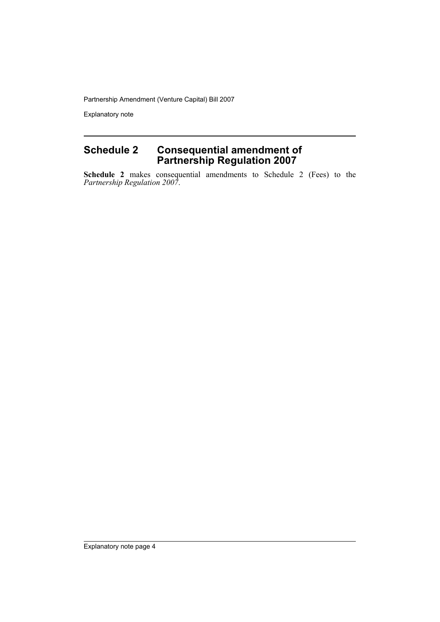Explanatory note

### **Schedule 2 Consequential amendment of Partnership Regulation 2007**

**Schedule 2** makes consequential amendments to Schedule 2 (Fees) to the *Partnership Regulation 2007*.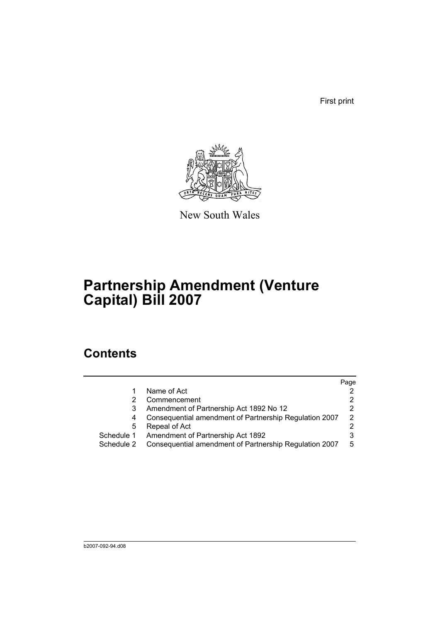First print



New South Wales

# **Partnership Amendment (Venture Capital) Bill 2007**

## **Contents**

|            |                                                        | Page          |
|------------|--------------------------------------------------------|---------------|
|            | Name of Act                                            | 2             |
|            | Commencement                                           | 2             |
|            | Amendment of Partnership Act 1892 No 12                | 2             |
| 4          | Consequential amendment of Partnership Regulation 2007 | $\mathcal{P}$ |
| 5          | Repeal of Act                                          | 2             |
| Schedule 1 | Amendment of Partnership Act 1892                      | 3             |
| Schedule 2 | Consequential amendment of Partnership Regulation 2007 | 5             |
|            |                                                        |               |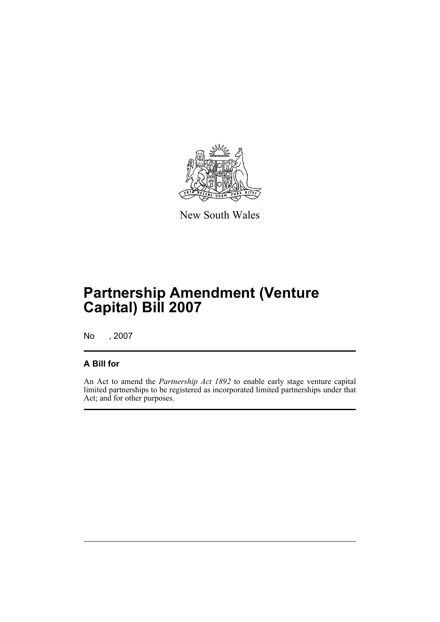

New South Wales

# **Partnership Amendment (Venture Capital) Bill 2007**

No , 2007

### **A Bill for**

An Act to amend the *Partnership Act 1892* to enable early stage venture capital limited partnerships to be registered as incorporated limited partnerships under that Act; and for other purposes.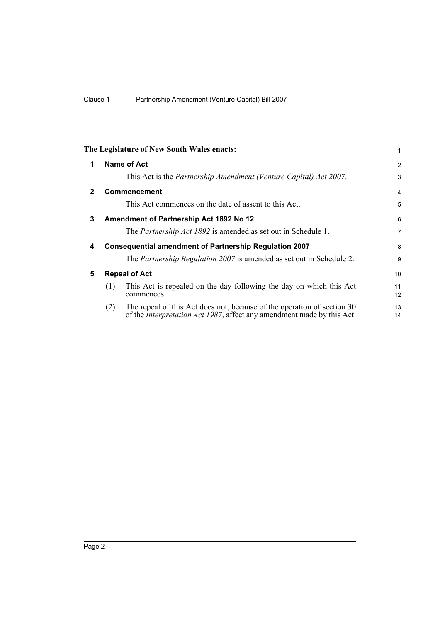<span id="page-7-4"></span><span id="page-7-3"></span><span id="page-7-2"></span><span id="page-7-1"></span><span id="page-7-0"></span>

|                                                                    |                                                                                                                                                           | 1                                                                                                                           |  |  |
|--------------------------------------------------------------------|-----------------------------------------------------------------------------------------------------------------------------------------------------------|-----------------------------------------------------------------------------------------------------------------------------|--|--|
|                                                                    |                                                                                                                                                           | 2                                                                                                                           |  |  |
|                                                                    | This Act is the <i>Partnership Amendment (Venture Capital) Act 2007</i> .                                                                                 | 3                                                                                                                           |  |  |
|                                                                    |                                                                                                                                                           | 4                                                                                                                           |  |  |
|                                                                    | This Act commences on the date of assent to this Act.                                                                                                     | 5                                                                                                                           |  |  |
|                                                                    |                                                                                                                                                           | 6                                                                                                                           |  |  |
|                                                                    | The <i>Partnership Act 1892</i> is amended as set out in Schedule 1.                                                                                      | $\overline{7}$                                                                                                              |  |  |
| <b>Consequential amendment of Partnership Regulation 2007</b><br>4 |                                                                                                                                                           |                                                                                                                             |  |  |
|                                                                    | The <i>Partnership Regulation 2007</i> is amended as set out in Schedule 2.                                                                               | 9                                                                                                                           |  |  |
| <b>Repeal of Act</b>                                               |                                                                                                                                                           | 10                                                                                                                          |  |  |
| (1)                                                                | This Act is repealed on the day following the day on which this Act<br>commences.                                                                         | 11<br>12                                                                                                                    |  |  |
| (2)                                                                | The repeal of this Act does not, because of the operation of section 30<br>of the <i>Interpretation Act 1987</i> , affect any amendment made by this Act. | 13<br>14                                                                                                                    |  |  |
|                                                                    |                                                                                                                                                           | The Legislature of New South Wales enacts:<br>Name of Act<br><b>Commencement</b><br>Amendment of Partnership Act 1892 No 12 |  |  |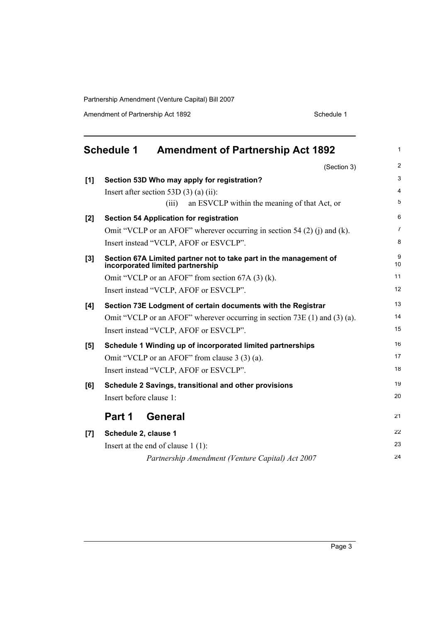Amendment of Partnership Act 1892 Schedule 1

<span id="page-8-0"></span>

|     | <b>Schedule 1</b><br><b>Amendment of Partnership Act 1892</b>                                         | 1              |
|-----|-------------------------------------------------------------------------------------------------------|----------------|
|     | (Section 3)                                                                                           | $\overline{2}$ |
| [1] | Section 53D Who may apply for registration?                                                           | 3              |
|     | Insert after section 53D $(3)$ (a) (ii):                                                              | 4              |
|     | an ESVCLP within the meaning of that Act, or<br>(iii)                                                 | 5              |
| [2] | <b>Section 54 Application for registration</b>                                                        | 6              |
|     | Omit "VCLP or an AFOF" wherever occurring in section 54 $(2)$ (j) and (k).                            | 7              |
|     | Insert instead "VCLP, AFOF or ESVCLP".                                                                | 8              |
| [3] | Section 67A Limited partner not to take part in the management of<br>incorporated limited partnership | 9<br>10        |
|     | Omit "VCLP or an AFOF" from section 67A (3) (k).                                                      | 11             |
|     | Insert instead "VCLP, AFOF or ESVCLP".                                                                | 12             |
| [4] | Section 73E Lodgment of certain documents with the Registrar                                          | 13             |
|     | Omit "VCLP or an AFOF" wherever occurring in section 73E (1) and (3) (a).                             | 14             |
|     | Insert instead "VCLP, AFOF or ESVCLP".                                                                | 15             |
| [5] | Schedule 1 Winding up of incorporated limited partnerships                                            | 16             |
|     | Omit "VCLP or an AFOF" from clause 3 (3) (a).                                                         | 17             |
|     | Insert instead "VCLP, AFOF or ESVCLP".                                                                | 18             |
| [6] | Schedule 2 Savings, transitional and other provisions                                                 | 19             |
|     | Insert before clause 1:                                                                               | 20             |
|     | Part 1<br><b>General</b>                                                                              | 21             |
| [7] | Schedule 2, clause 1                                                                                  | 22             |
|     | Insert at the end of clause $1(1)$ :                                                                  | 23             |
|     | Partnership Amendment (Venture Capital) Act 2007                                                      | 24             |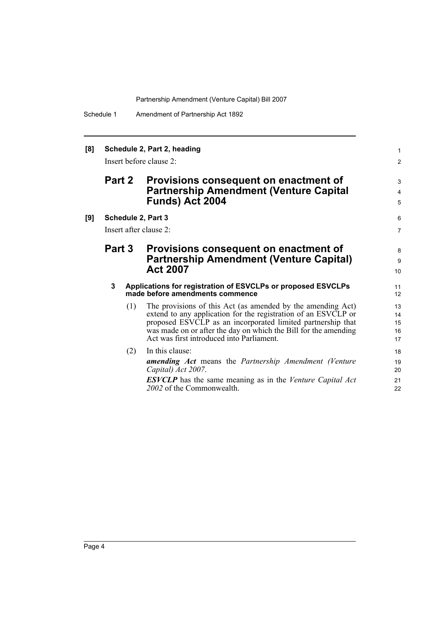Schedule 1 Amendment of Partnership Act 1892

| [8] | Schedule 2, Part 2, heading<br>Insert before clause 2: |     |                                                                                                                                                                                                                                                                                                              | $\mathbf{1}$<br>2          |
|-----|--------------------------------------------------------|-----|--------------------------------------------------------------------------------------------------------------------------------------------------------------------------------------------------------------------------------------------------------------------------------------------------------------|----------------------------|
|     | <b>Part 2</b>                                          |     | Provisions consequent on enactment of<br><b>Partnership Amendment (Venture Capital</b><br>Funds) Act 2004                                                                                                                                                                                                    | 3<br>$\overline{4}$<br>5   |
| [9] |                                                        |     | Schedule 2, Part 3<br>Insert after clause 2:                                                                                                                                                                                                                                                                 | 6<br>$\overline{7}$        |
|     | <b>Part 3</b>                                          |     | Provisions consequent on enactment of<br><b>Partnership Amendment (Venture Capital)</b><br><b>Act 2007</b>                                                                                                                                                                                                   | 8<br>9<br>10               |
|     | 3                                                      |     | Applications for registration of ESVCLPs or proposed ESVCLPs<br>made before amendments commence                                                                                                                                                                                                              | 11<br>12                   |
|     |                                                        | (1) | The provisions of this Act (as amended by the amending Act)<br>extend to any application for the registration of an ESVCLP or<br>proposed ESVCLP as an incorporated limited partnership that<br>was made on or after the day on which the Bill for the amending<br>Act was first introduced into Parliament. | 13<br>14<br>15<br>16<br>17 |
|     |                                                        | (2) | In this clause:<br><b>amending Act</b> means the Partnership Amendment (Venture<br>Capital) Act 2007.<br><b>ESVCLP</b> has the same meaning as in the Venture Capital Act<br>2002 of the Commonwealth.                                                                                                       | 18<br>19<br>20<br>21<br>22 |